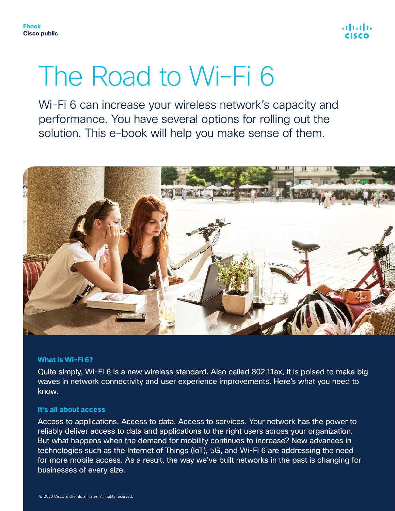

# The Road to Wi-Fi 6

Wi-Fi 6 can increase your wireless network's capacity and performance. You have several options for rolling out the solution. This e-book will help you make sense of them.



#### **What is Wi-Fi 6?**

Quite simply, Wi-Fi 6 is a new wireless standard. Also called 802.11ax, it is poised to make big waves in network connectivity and user experience improvements. Here's what you need to know.

#### **It's all about access**

Access to applications. Access to data. Access to services. Your network has the power to reliably deliver access to data and applications to the right users across your organization. But what happens when the demand for mobility continues to increase? New advances in technologies such as the Internet of Things (IoT), 5G, and Wi-Fi 6 are addressing the need for more mobile access. As a result, the way we've built networks in the past is changing for businesses of every size.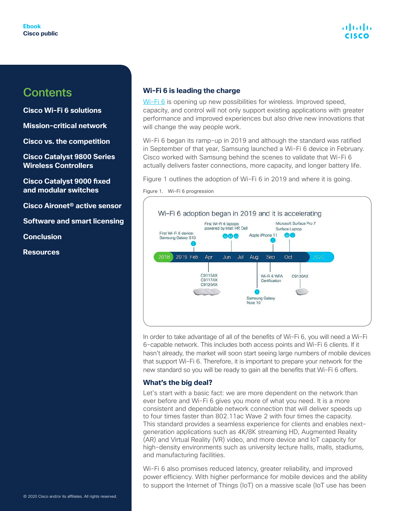**[Cisco Wi-Fi 6 solutions](#page-3-0)**

**[Mission-critical network](#page-7-0)**

**[Cisco vs. the competition](#page-12-0)**

**[Cisco Catalyst 9800 Series](#page-15-0)  [Wireless Controllers](#page-15-0)**

**[Cisco Catalyst 9000 fixed](#page-20-0)  [and modular switches](#page-20-0)**

**[Cisco Aironet® active sensor](#page-24-0)**

**[Software and smart licensing](#page-24-0)**

**[Conclusion](#page-27-0)**

**[Resources](#page-28-0)**

#### **Wi-Fi 6 is leading the charge**

[Wi-Fi 6](https://www.cisco.com/c/en/us/products/wireless/what-is-wi-fi-6.html) is opening up new possibilities for wireless. Improved speed, capacity, and control will not only support existing applications with greater performance and improved experiences but also drive new innovations that will change the way people work.

Wi-Fi 6 began its ramp-up in 2019 and although the standard was ratified in September of that year, Samsung launched a Wi-Fi 6 device in February. Cisco worked with Samsung behind the scenes to validate that Wi-Fi 6 actually delivers faster connections, more capacity, and longer battery life.

Figure 1 outlines the adoption of Wi-Fi 6 in 2019 and where it is going.

Figure 1. Wi-Fi 6 progression



In order to take advantage of all of the benefits of Wi-Fi 6, you will need a Wi-Fi 6-capable network. This includes both access points and Wi-Fi 6 clients. If it hasn't already, the market will soon start seeing large numbers of mobile devices that support Wi-Fi 6. Therefore, it is important to prepare your network for the new standard so you will be ready to gain all the benefits that Wi-Fi 6 offers.

#### **What's the big deal?**

Let's start with a basic fact: we are more dependent on the network than ever before and Wi-Fi 6 gives you more of what you need. It is a more consistent and dependable network connection that will deliver speeds up to four times faster than 802.11ac Wave 2 with four times the capacity. This standard provides a seamless experience for clients and enables nextgeneration applications such as 4K/8K streaming HD, Augmented Reality (AR) and Virtual Reality (VR) video, and more device and IoT capacity for high-density environments such as university lecture halls, malls, stadiums, and manufacturing facilities.

Wi-Fi 6 also promises reduced latency, greater reliability, and improved power efficiency. With higher performance for mobile devices and the ability to support the Internet of Things (IoT) on a massive scale (IoT use has been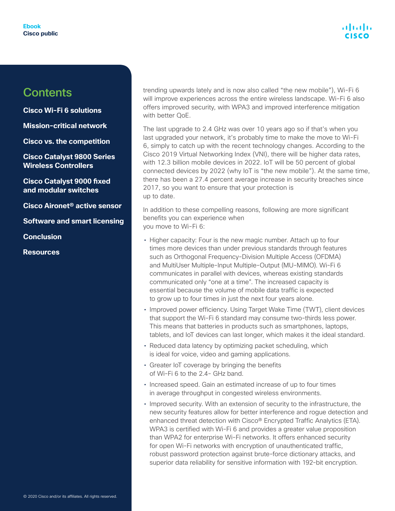

**[Cisco Wi-Fi 6 solutions](#page-3-0)**

**[Mission-critical network](#page-7-0)**

**[Cisco vs. the competition](#page-12-0)**

**[Cisco Catalyst 9800 Series](#page-15-0)  [Wireless Controllers](#page-15-0)**

**[Cisco Catalyst 9000 fixed](#page-20-0)  [and modular switches](#page-20-0)**

**[Cisco Aironet® active sensor](#page-24-0)**

**[Software and smart licensing](#page-24-0)**

**[Conclusion](#page-27-0)**

**[Resources](#page-28-0)**

trending upwards lately and is now also called "the new mobile"), Wi-Fi 6 will improve experiences across the entire wireless landscape. Wi-Fi 6 also offers improved security, with WPA3 and improved interference mitigation with better QoE.

The last upgrade to 2.4 GHz was over 10 years ago so if that's when you last upgraded your network, it's probably time to make the move to Wi-Fi 6, simply to catch up with the recent technology changes. According to the Cisco 2019 Virtual Networking Index (VNI), there will be higher data rates, with 12.3 billion mobile devices in 2022. IoT will be 50 percent of global connected devices by 2022 (why IoT is "the new mobile"). At the same time, there has been a 27.4 percent average increase in security breaches since 2017, so you want to ensure that your protection is up to date.

In addition to these compelling reasons, following are more significant benefits you can experience when you move to Wi-Fi 6:

- Higher capacity: Four is the new magic number. Attach up to four times more devices than under previous standards through features such as Orthogonal Frequency-Division Multiple Access (OFDMA) and MultiUser Multiple-Input Multiple-Output (MU-MIMO). Wi-Fi 6 communicates in parallel with devices, whereas existing standards communicated only "one at a time". The increased capacity is essential because the volume of mobile data traffic is expected to grow up to four times in just the next four years alone.
- Improved power efficiency. Using Target Wake Time (TWT), client devices that support the Wi-Fi 6 standard may consume two-thirds less power. This means that batteries in products such as smartphones, laptops, tablets, and IoT devices can last longer, which makes it the ideal standard.
- Reduced data latency by optimizing packet scheduling, which is ideal for voice, video and gaming applications.
- Greater IoT coverage by bringing the benefits of Wi-Fi 6 to the 2.4- GHz band.
- Increased speed. Gain an estimated increase of up to four times in average throughput in congested wireless environments.
- Improved security. With an extension of security to the infrastructure, the new security features allow for better interference and rogue detection and enhanced threat detection with Cisco® Encrypted Traffic Analytics (ETA). WPA3 is certified with Wi-Fi 6 and provides a greater value proposition than WPA2 for enterprise Wi-Fi networks. It offers enhanced security for open Wi-Fi networks with encryption of unauthenticated traffic, robust password protection against brute-force dictionary attacks, and superior data reliability for sensitive information with 192-bit encryption.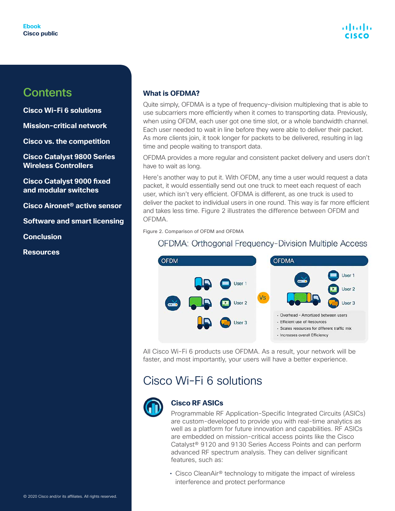<span id="page-3-0"></span>**Cisco Wi-Fi 6 solutions**

**[Mission-critical network](#page-7-0)**

**[Cisco vs. the competition](#page-12-0)**

**[Cisco Catalyst 9800 Series](#page-15-0)  [Wireless Controllers](#page-15-0)**

**[Cisco Catalyst 9000 fixed](#page-20-0)  [and modular switches](#page-20-0)**

**[Cisco Aironet® active sensor](#page-24-0)**

**[Software and smart licensing](#page-24-0)**

**[Conclusion](#page-27-0)**

**[Resources](#page-28-0)**

#### **What is OFDMA?**

Quite simply, OFDMA is a type of frequency-division multiplexing that is able to use subcarriers more efficiently when it comes to transporting data. Previously, when using OFDM, each user got one time slot, or a whole bandwidth channel. Each user needed to wait in line before they were able to deliver their packet. As more clients join, it took longer for packets to be delivered, resulting in lag time and people waiting to transport data.

OFDMA provides a more regular and consistent packet delivery and users don't have to wait as long.

Here's another way to put it. With OFDM, any time a user would request a data packet, it would essentially send out one truck to meet each request of each user, which isn't very efficient. OFDMA is different, as one truck is used to deliver the packet to individual users in one round. This way is far more efficient and takes less time. Figure 2 illustrates the difference between OFDM and OFDMA.

Figure 2. Comparison of OFDM and OFDMA

#### **OFDMA: Orthogonal Frequency-Division Multiple Access**



All Cisco Wi-Fi 6 products use OFDMA. As a result, your network will be faster, and most importantly, your users will have a better experience.

### Cisco Wi-Fi 6 solutions



#### **Cisco RF ASICs**

Programmable RF Application-Specific Integrated Circuits (ASICs) are custom-developed to provide you with real-time analytics as well as a platform for future innovation and capabilities. RF ASICs are embedded on mission-critical access points like the Cisco Catalyst® 9120 and 9130 Series Access Points and can perform advanced RF spectrum analysis. They can deliver significant features, such as:

• Cisco CleanAir® technology to mitigate the impact of wireless interference and protect performance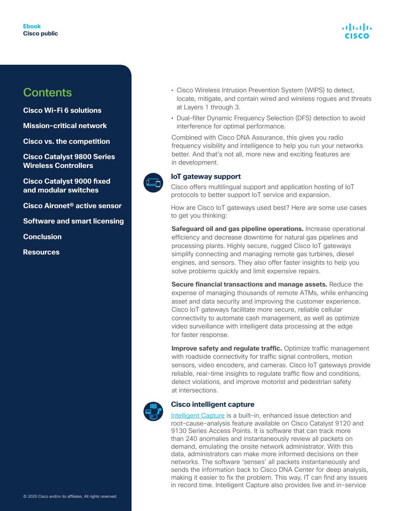## atnatn

### **Contents**

**[Cisco Wi-Fi 6 solutions](#page-3-0)**

**[Mission-critical network](#page-7-0)**

**[Cisco vs. the competition](#page-12-0)**

**[Cisco Catalyst 9800 Series](#page-15-0)  [Wireless Controllers](#page-15-0)**

**[Cisco Catalyst 9000 fixed](#page-20-0)  [and modular switches](#page-20-0)**

**[Cisco Aironet® active sensor](#page-24-0)**

**[Software and smart licensing](#page-24-0)**

**[Conclusion](#page-27-0)**

**[Resources](#page-28-0)**

- Cisco Wireless Intrusion Prevention System (WIPS) to detect, locate, mitigate, and contain wired and wireless rogues and threats at Layers 1 through 3.
- Dual-filter Dynamic Frequency Selection (DFS) detection to avoid interference for optimal performance.

Combined with Cisco DNA Assurance, this gives you radio frequency visibility and intelligence to help you run your networks better. And that's not all, more new and exciting features are in development.



#### **IoT gateway support**

Cisco offers multilingual support and application hosting of IoT protocols to better support IoT service and expansion.

How are Cisco IoT gateways used best? Here are some use cases to get you thinking:

**Safeguard oil and gas pipeline operations.** Increase operational efficiency and decrease downtime for natural gas pipelines and processing plants. Highly secure, rugged Cisco IoT gateways simplify connecting and managing remote gas turbines, diesel engines, and sensors. They also offer faster insights to help you solve problems quickly and limit expensive repairs.

**Secure financial transactions and manage assets.** Reduce the expense of managing thousands of remote ATMs, while enhancing asset and data security and improving the customer experience. Cisco IoT gateways facilitate more secure, reliable cellular connectivity to automate cash management, as well as optimize video surveillance with intelligent data processing at the edge for faster response.

**Improve safety and regulate traffic.** Optimize traffic management with roadside connectivity for traffic signal controllers, motion sensors, video encoders, and cameras. Cisco IoT gateways provide reliable, real-time insights to regulate traffic flow and conditions, detect violations, and improve motorist and pedestrian safety at intersections.



#### **Cisco intelligent capture**

[Intelligent Capture](https://blogs.cisco.com/wireless/presenting-the-worlds-smartest-access-point) is a built-in, enhanced issue detection and root-cause-analysis feature available on Cisco Catalyst 9120 and 9130 Series Access Points. It is software that can track more than 240 anomalies and instantaneously review all packets on demand, emulating the onsite network administrator. With this data, administrators can make more informed decisions on their networks. The software 'senses' all packets instantaneously and sends the information back to Cisco DNA Center for deep analysis, making it easier to fix the problem. This way, IT can find any issues in record time. Intelligent Capture also provides live and in-service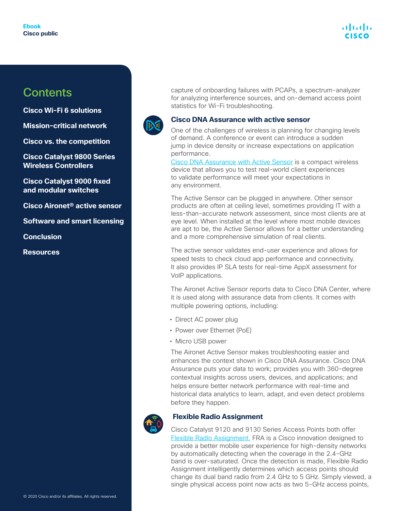**[Cisco Wi-Fi 6 solutions](#page-3-0)**

**[Mission-critical network](#page-7-0)**

**[Cisco vs. the competition](#page-12-0)**

**[Cisco Catalyst 9800 Series](#page-15-0)  [Wireless Controllers](#page-15-0)**

**[Cisco Catalyst 9000 fixed](#page-20-0)  [and modular switches](#page-20-0)**

**[Cisco Aironet® active sensor](#page-24-0)**

**[Software and smart licensing](#page-24-0)**

**[Conclusion](#page-27-0)**

**[Resources](#page-28-0)**





#### **Cisco DNA Assurance with active sensor**

One of the challenges of wireless is planning for changing levels of demand. A conference or event can introduce a sudden jump in device density or increase expectations on application performance.

[Cisco DNA Assurance with Active Sensor](https://www.cisco.com/c/en/us/products/wireless/aironet-active-sensor/index.html) is a compact wireless device that allows you to test real-world client experiences to validate performance will meet your expectations in any environment.

The Active Sensor can be plugged in anywhere. Other sensor products are often at ceiling level, sometimes providing IT with a less-than-accurate network assessment, since most clients are at eye level. When installed at the level where most mobile devices are apt to be, the Active Sensor allows for a better understanding and a more comprehensive simulation of real clients.

The active sensor validates end-user experience and allows for speed tests to check cloud app performance and connectivity. It also provides IP SLA tests for real-time AppX assessment for VoIP applications.

The Aironet Active Sensor reports data to Cisco DNA Center, where it is used along with assurance data from clients. It comes with multiple powering options, including:

- Direct AC power plug
- Power over Ethernet (PoE)
- Micro USB power

The Aironet Active Sensor makes troubleshooting easier and enhances the context shown in Cisco DNA Assurance. Cisco DNA Assurance puts your data to work; provides you with 360-degree contextual insights across users, devices, and applications; and helps ensure better network performance with real-time and historical data analytics to learn, adapt, and even detect problems before they happen.



#### **Flexible Radio Assignment**

Cisco Catalyst 9120 and 9130 Series Access Points both offer [Flexible Radio Assignment.](https://www.cisco.com/c/dam/en/us/solutions/collateral/enterprise-networks/802-11ac-solution/at-a-glance-c45-737165.pdf) FRA is a Cisco innovation designed to provide a better mobile user experience for high-density networks by automatically detecting when the coverage in the 2.4-GHz band is over-saturated. Once the detection is made, Flexible Radio Assignment intelligently determines which access points should change its dual band radio from 2.4 GHz to 5 GHz. Simply viewed, a single physical access point now acts as two 5-GHz access points,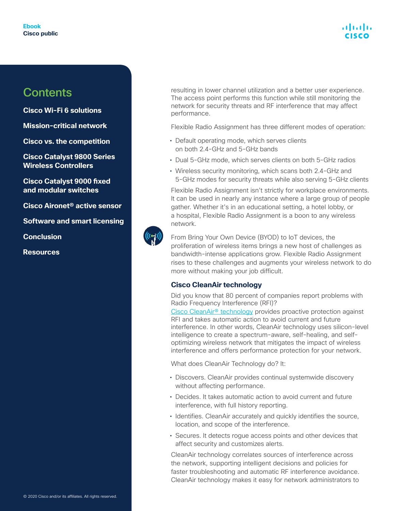## atnatn

### **Contents**

**[Cisco Wi-Fi 6 solutions](#page-3-0)**

**[Mission-critical network](#page-7-0)**

**[Cisco vs. the competition](#page-12-0)**

**[Cisco Catalyst 9800 Series](#page-15-0)  [Wireless Controllers](#page-15-0)**

**[Cisco Catalyst 9000 fixed](#page-20-0)  [and modular switches](#page-20-0)**

**[Cisco Aironet® active sensor](#page-24-0)**

**[Software and smart licensing](#page-24-0)**

**[Conclusion](#page-27-0)**

**[Resources](#page-28-0)**

resulting in lower channel utilization and a better user experience. The access point performs this function while still monitoring the network for security threats and RF interference that may affect performance.

Flexible Radio Assignment has three different modes of operation:

- Default operating mode, which serves clients on both 2.4-GHz and 5-GHz bands
- Dual 5-GHz mode, which serves clients on both 5-GHz radios
- Wireless security monitoring, which scans both 2.4-GHz and 5-GHz modes for security threats while also serving 5-GHz clients

Flexible Radio Assignment isn't strictly for workplace environments. It can be used in nearly any instance where a large group of people gather. Whether it's in an educational setting, a hotel lobby, or a hospital, Flexible Radio Assignment is a boon to any wireless network.



From Bring Your Own Device (BYOD) to IoT devices, the proliferation of wireless items brings a new host of challenges as bandwidth-intense applications grow. Flexible Radio Assignment rises to these challenges and augments your wireless network to do more without making your job difficult.

#### **Cisco CleanAir technology**

Did you know that 80 percent of companies report problems with Radio Frequency Interference (RFI)?

Cisco CleanAir<sup>®</sup> technology provides proactive protection against RFI and takes automatic action to avoid current and future interference. In other words, CleanAir technology uses silicon-level intelligence to create a spectrum-aware, self-healing, and selfoptimizing wireless network that mitigates the impact of wireless interference and offers performance protection for your network.

What does CleanAir Technology do? It:

- Discovers. CleanAir provides continual systemwide discovery without affecting performance.
- Decides. It takes automatic action to avoid current and future interference, with full history reporting.
- Identifies. CleanAir accurately and quickly identifies the source, location, and scope of the interference.
- Secures. It detects rogue access points and other devices that affect security and customizes alerts.

CleanAir technology correlates sources of interference across the network, supporting intelligent decisions and policies for faster troubleshooting and automatic RF interference avoidance. CleanAir technology makes it easy for network administrators to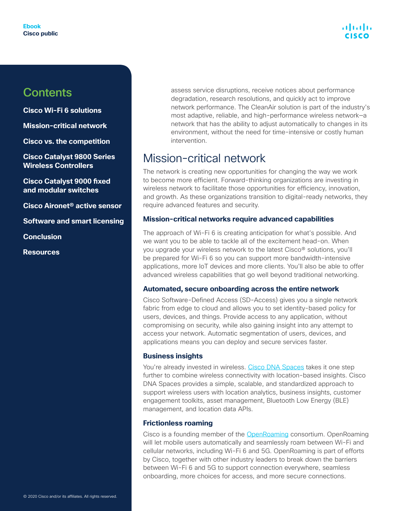<span id="page-7-0"></span>**[Cisco Wi-Fi 6 solutions](#page-3-0)**

**Mission-critical network**

**[Cisco vs. the competition](#page-12-0)**

**[Cisco Catalyst 9800 Series](#page-15-0)  [Wireless Controllers](#page-15-0)**

**[Cisco Catalyst 9000 fixed](#page-20-0)  [and modular switches](#page-20-0)**

**[Cisco Aironet® active sensor](#page-24-0)**

**[Software and smart licensing](#page-24-0)**

**[Conclusion](#page-27-0)**

**[Resources](#page-28-0)**

assess service disruptions, receive notices about performance degradation, research resolutions, and quickly act to improve network performance. The CleanAir solution is part of the industry's most adaptive, reliable, and high-performance wireless network—a network that has the ability to adjust automatically to changes in its environment, without the need for time-intensive or costly human intervention.

### Mission-critical network

The network is creating new opportunities for changing the way we work to become more efficient. Forward-thinking organizations are investing in wireless network to facilitate those opportunities for efficiency, innovation, and growth. As these organizations transition to digital-ready networks, they require advanced features and security.

#### **Mission-critical networks require advanced capabilities**

The approach of Wi-Fi 6 is creating anticipation for what's possible. And we want you to be able to tackle all of the excitement head-on. When you upgrade your wireless network to the latest Cisco® solutions, you'll be prepared for Wi-Fi 6 so you can support more bandwidth-intensive applications, more IoT devices and more clients. You'll also be able to offer advanced wireless capabilities that go well beyond traditional networking.

#### **Automated, secure onboarding across the entire network**

Cisco Software-Defined Access (SD-Access) gives you a single network fabric from edge to cloud and allows you to set identity-based policy for users, devices, and things. Provide access to any application, without compromising on security, while also gaining insight into any attempt to access your network. Automatic segmentation of users, devices, and applications means you can deploy and secure services faster.

#### **Business insights**

You're already invested in wireless. [Cisco DNA Spaces](https://www.cisco.com/c/en/us/solutions/enterprise-networks/dna-spaces/index.html) takes it one step further to combine wireless connectivity with location-based insights. Cisco DNA Spaces provides a simple, scalable, and standardized approach to support wireless users with location analytics, business insights, customer engagement toolkits, asset management, Bluetooth Low Energy (BLE) management, and location data APIs.

#### **Frictionless roaming**

Cisco is a founding member of the [OpenRoaming](https://www.cisco.com/c/en/us/solutions/enterprise-networks/802-11ax-solution/openroaming.html) consortium. OpenRoaming will let mobile users automatically and seamlessly roam between Wi-Fi and cellular networks, including Wi-Fi 6 and 5G. OpenRoaming is part of efforts by Cisco, together with other industry leaders to break down the barriers between Wi-Fi 6 and 5G to support connection everywhere, seamless onboarding, more choices for access, and more secure connections.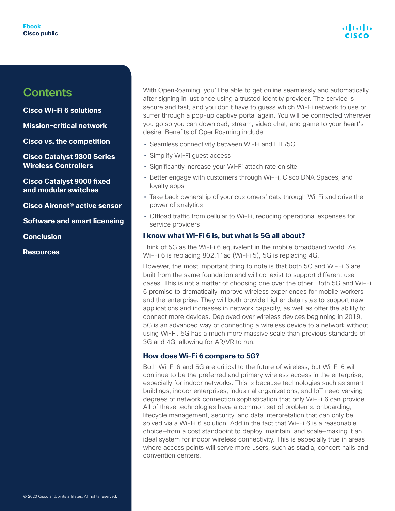#### **[Cisco Wi-Fi 6 solutions](#page-3-0)**

**[Mission-critical network](#page-7-0)**

**[Cisco vs. the competition](#page-12-0)**

**[Cisco Catalyst 9800 Series](#page-15-0)  [Wireless Controllers](#page-15-0)**

**[Cisco Catalyst 9000 fixed](#page-20-0)  [and modular switches](#page-20-0)**

**[Cisco Aironet® active sensor](#page-24-0)**

**[Software and smart licensing](#page-24-0)**

**[Conclusion](#page-27-0)**

**[Resources](#page-28-0)**

With OpenRoaming, you'll be able to get online seamlessly and automatically after signing in just once using a trusted identity provider. The service is secure and fast, and you don't have to guess which Wi-Fi network to use or suffer through a pop-up captive portal again. You will be connected wherever you go so you can download, stream, video chat, and game to your heart's desire. Benefits of OpenRoaming include:

- Seamless connectivity between Wi-Fi and LTE/5G
- Simplify Wi-Fi guest access
- Significantly increase your Wi-Fi attach rate on site
- Better engage with customers through Wi-Fi, Cisco DNA Spaces, and loyalty apps
- Take back ownership of your customers' data through Wi-Fi and drive the power of analytics
- Offload traffic from cellular to Wi-Fi, reducing operational expenses for service providers

#### **I know what Wi-Fi 6 is, but what is 5G all about?**

Think of 5G as the Wi-Fi 6 equivalent in the mobile broadband world. As Wi-Fi 6 is replacing 802.11ac (Wi-Fi 5), 5G is replacing 4G.

However, the most important thing to note is that both 5G and Wi-Fi 6 are built from the same foundation and will co-exist to support different use cases. This is not a matter of choosing one over the other. Both 5G and Wi-Fi 6 promise to dramatically improve wireless experiences for mobile workers and the enterprise. They will both provide higher data rates to support new applications and increases in network capacity, as well as offer the ability to connect more devices. Deployed over wireless devices beginning in 2019, 5G is an advanced way of connecting a wireless device to a network without using Wi-Fi. 5G has a much more massive scale than previous standards of 3G and 4G, allowing for AR/VR to run.

#### **How does Wi-Fi 6 compare to 5G?**

Both Wi-Fi 6 and 5G are critical to the future of wireless, but Wi-Fi 6 will continue to be the preferred and primary wireless access in the enterprise, especially for indoor networks. This is because technologies such as smart buildings, indoor enterprises, industrial organizations, and IoT need varying degrees of network connection sophistication that only Wi-Fi 6 can provide. All of these technologies have a common set of problems: onboarding, lifecycle management, security, and data interpretation that can only be solved via a Wi-Fi 6 solution. Add in the fact that Wi-Fi 6 is a reasonable choice—from a cost standpoint to deploy, maintain, and scale—making it an ideal system for indoor wireless connectivity. This is especially true in areas where access points will serve more users, such as stadia, concert halls and convention centers.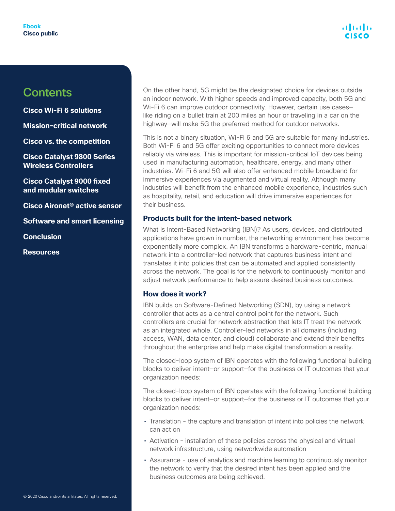**[Cisco Wi-Fi 6 solutions](#page-3-0)**

**[Mission-critical network](#page-7-0)**

**[Cisco vs. the competition](#page-12-0)**

**[Cisco Catalyst 9800 Series](#page-15-0)  [Wireless Controllers](#page-15-0)**

**[Cisco Catalyst 9000 fixed](#page-20-0)  [and modular switches](#page-20-0)**

**[Cisco Aironet® active sensor](#page-24-0)**

**[Software and smart licensing](#page-24-0)**

**[Conclusion](#page-27-0)**

**[Resources](#page-28-0)**

On the other hand, 5G might be the designated choice for devices outside an indoor network. With higher speeds and improved capacity, both 5G and Wi-Fi 6 can improve outdoor connectivity. However, certain use cases like riding on a bullet train at 200 miles an hour or traveling in a car on the highway—will make 5G the preferred method for outdoor networks.

This is not a binary situation, Wi-Fi 6 and 5G are suitable for many industries. Both Wi-Fi 6 and 5G offer exciting opportunities to connect more devices reliably via wireless. This is important for mission-critical IoT devices being used in manufacturing automation, healthcare, energy, and many other industries. Wi-Fi 6 and 5G will also offer enhanced mobile broadband for immersive experiences via augmented and virtual reality. Although many industries will benefit from the enhanced mobile experience, industries such as hospitality, retail, and education will drive immersive experiences for their business.

#### **Products built for the intent-based network**

What is Intent-Based Networking (IBN)? As users, devices, and distributed applications have grown in number, the networking environment has become exponentially more complex. An IBN transforms a hardware-centric, manual network into a controller-led network that captures business intent and translates it into policies that can be automated and applied consistently across the network. The goal is for the network to continuously monitor and adjust network performance to help assure desired business outcomes.

#### **How does it work?**

IBN builds on Software-Defined Networking (SDN), by using a network controller that acts as a central control point for the network. Such controllers are crucial for network abstraction that lets IT treat the network as an integrated whole. Controller-led networks in all domains (including access, WAN, data center, and cloud) collaborate and extend their benefits throughout the enterprise and help make digital transformation a reality.

The closed-loop system of IBN operates with the following functional building blocks to deliver intent—or support—for the business or IT outcomes that your organization needs:

The closed-loop system of IBN operates with the following functional building blocks to deliver intent—or support—for the business or IT outcomes that your organization needs:

- Translation the capture and translation of intent into policies the network can act on
- Activation installation of these policies across the physical and virtual network infrastructure, using networkwide automation
- Assurance use of analytics and machine learning to continuously monitor the network to verify that the desired intent has been applied and the business outcomes are being achieved.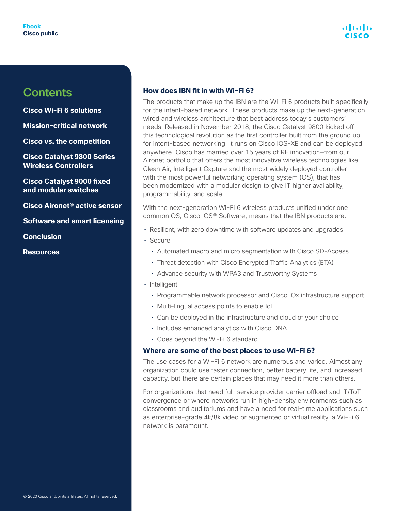**[Cisco Wi-Fi 6 solutions](#page-3-0)**

**[Mission-critical network](#page-7-0)**

**[Cisco vs. the competition](#page-12-0)**

**[Cisco Catalyst 9800 Series](#page-15-0)  [Wireless Controllers](#page-15-0)**

**[Cisco Catalyst 9000 fixed](#page-20-0)  [and modular switches](#page-20-0)**

**[Cisco Aironet® active sensor](#page-24-0)**

**[Software and smart licensing](#page-24-0)**

**[Conclusion](#page-27-0)**

**[Resources](#page-28-0)**

#### **How does IBN fit in with Wi-Fi 6?**

The products that make up the IBN are the Wi-Fi 6 products built specifically for the intent-based network. These products make up the next-generation wired and wireless architecture that best address today's customers' needs. Released in November 2018, the Cisco Catalyst 9800 kicked off this technological revolution as the first controller built from the ground up for intent-based networking. It runs on Cisco IOS-XE and can be deployed anywhere. Cisco has married over 15 years of RF innovation—from our Aironet portfolio that offers the most innovative wireless technologies like Clean Air, Intelligent Capture and the most widely deployed controller with the most powerful networking operating system (OS), that has been modernized with a modular design to give IT higher availability, programmability, and scale.

With the next-generation Wi-Fi 6 wireless products unified under one common OS, Cisco IOS® Software, means that the IBN products are:

- Resilient, with zero downtime with software updates and upgrades
- Secure
	- Automated macro and micro segmentation with Cisco SD-Access
	- Threat detection with Cisco Encrypted Traffic Analytics (ETA)
	- Advance security with WPA3 and Trustworthy Systems
- Intelligent
	- Programmable network processor and Cisco IOx infrastructure support
	- Multi-lingual access points to enable IoT
	- Can be deployed in the infrastructure and cloud of your choice
	- Includes enhanced analytics with Cisco DNA
	- Goes beyond the Wi-Fi 6 standard

#### **Where are some of the best places to use Wi-Fi 6?**

The use cases for a Wi-Fi 6 network are numerous and varied. Almost any organization could use faster connection, better battery life, and increased capacity, but there are certain places that may need it more than others.

For organizations that need full-service provider carrier offload and IT/ToT convergence or where networks run in high-density environments such as classrooms and auditoriums and have a need for real-time applications such as enterprise-grade 4k/8k video or augmented or virtual reality, a Wi-Fi 6 network is paramount.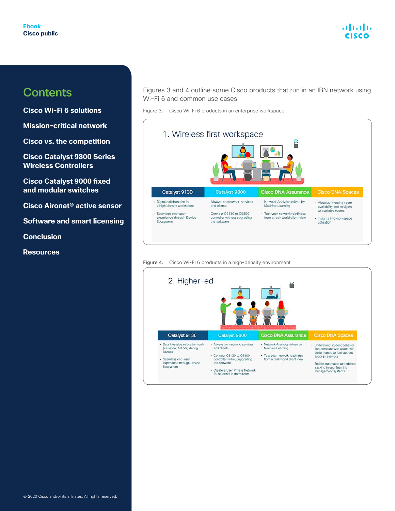#### alnılır **CISCO**

### **Contents**

**[Cisco Wi-Fi 6 solutions](#page-3-0)**

**[Mission-critical network](#page-7-0)**

**[Cisco vs. the competition](#page-12-0)**

**[Cisco Catalyst 9800 Series](#page-15-0)  [Wireless Controllers](#page-15-0)**

**[Cisco Catalyst 9000 fixed](#page-20-0)  [and modular switches](#page-20-0)**

**[Cisco Aironet® active sensor](#page-24-0)**

**[Software and smart licensing](#page-24-0)**

**[Conclusion](#page-27-0)**

**[Resources](#page-28-0)**

Figures 3 and 4 outline some Cisco products that run in an IBN network using Wi-Fi 6 and common use cases.

Figure 3. Cisco Wi-Fi 6 products in an enterprise workspace



Figure 4. Cisco Wi-Fi 6 products in a high-density environment

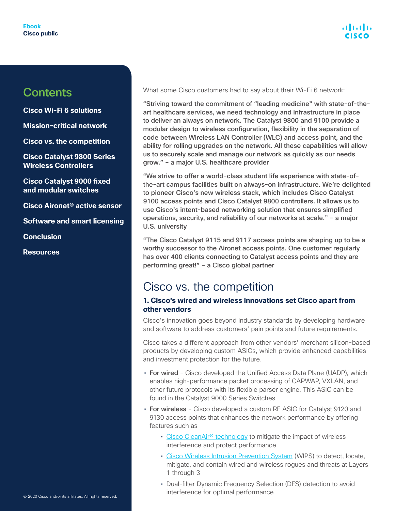<span id="page-12-0"></span>**[Cisco Wi-Fi 6 solutions](#page-3-0)**

**[Mission-critical network](#page-7-0)**

**Cisco vs. the competition**

**[Cisco Catalyst 9800 Series](#page-15-0)  [Wireless Controllers](#page-15-0)**

**[Cisco Catalyst 9000 fixed](#page-20-0)  [and modular switches](#page-20-0)**

**[Cisco Aironet® active sensor](#page-24-0)**

**[Software and smart licensing](#page-24-0)**

**[Conclusion](#page-27-0)**

**[Resources](#page-28-0)**

What some Cisco customers had to say about their Wi-Fi 6 network:

"Striving toward the commitment of "leading medicine" with state-of-theart healthcare services, we need technology and infrastructure in place to deliver an always on network. The Catalyst 9800 and 9100 provide a modular design to wireless configuration, flexibility in the separation of code between Wireless LAN Controller (WLC) and access point, and the ability for rolling upgrades on the network. All these capabilities will allow us to securely scale and manage our network as quickly as our needs grow." – a major U.S. healthcare provider

"We strive to offer a world-class student life experience with state-ofthe-art campus facilities built on always-on infrastructure. We're delighted to pioneer Cisco's new wireless stack, which includes Cisco Catalyst 9100 access points and Cisco Catalyst 9800 controllers. It allows us to use Cisco's intent-based networking solution that ensures simplified operations, security, and reliability of our networks at scale." – a major U.S. university

"The Cisco Catalyst 9115 and 9117 access points are shaping up to be a worthy successor to the Aironet access points. One customer regularly has over 400 clients connecting to Catalyst access points and they are performing great!" – a Cisco global partner

### Cisco vs. the competition

#### **1. Cisco's wired and wireless innovations set Cisco apart from other vendors**

Cisco's innovation goes beyond industry standards by developing hardware and software to address customers' pain points and future requirements.

Cisco takes a different approach from other vendors' merchant silicon-based products by developing custom ASICs, which provide enhanced capabilities and investment protection for the future.

- For wired Cisco developed the Unified Access Data Plane (UADP), which enables high-performance packet processing of CAPWAP, VXLAN, and other future protocols with its flexible parser engine. This ASIC can be found in the Catalyst 9000 Series Switches
- For wireless Cisco developed a custom RF ASIC for Catalyst 9120 and 9130 access points that enhances the network performance by offering features such as
	- Cisco CleanAir<sup>®</sup> technology to mitigate the impact of wireless interference and protect performance
	- [Cisco Wireless Intrusion Prevention System](https://www.cisco.com/c/en/us/products/collateral/wireless/adaptive-wireless-ips-software/data_sheet_c78-501388.html?dtid=osscdc000283) (WIPS) to detect, locate, mitigate, and contain wired and wireless rogues and threats at Layers 1 through 3
	- Dual-filter Dynamic Frequency Selection (DFS) detection to avoid interference for optimal performance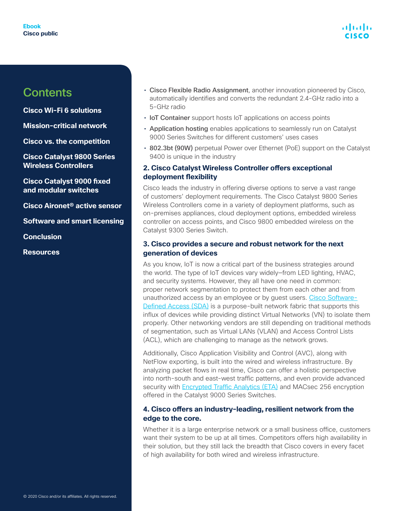**[Cisco Wi-Fi 6 solutions](#page-3-0)**

**[Mission-critical network](#page-7-0)**

**[Cisco vs. the competition](#page-12-0)**

**[Cisco Catalyst 9800 Series](#page-15-0)  [Wireless Controllers](#page-15-0)**

**[Cisco Catalyst 9000 fixed](#page-20-0)  [and modular switches](#page-20-0)**

**[Cisco Aironet® active sensor](#page-24-0)**

**[Software and smart licensing](#page-24-0)**

**[Conclusion](#page-27-0)**

**[Resources](#page-28-0)**

- Cisco Flexible Radio Assignment, another innovation pioneered by Cisco, automatically identifies and converts the redundant 2.4-GHz radio into a 5-GHz radio
- IoT Container support hosts IoT applications on access points
- Application hosting enables applications to seamlessly run on Catalyst 9000 Series Switches for different customers' uses cases
- 802.3bt (90W) perpetual Power over Ethernet (PoE) support on the Catalyst 9400 is unique in the industry

#### **2. Cisco Catalyst Wireless Controller offers exceptional deployment flexibility**

Cisco leads the industry in offering diverse options to serve a vast range of customers' deployment requirements. The Cisco Catalyst 9800 Series Wireless Controllers come in a variety of deployment platforms, such as on-premises appliances, cloud deployment options, embedded wireless controller on access points, and Cisco 9800 embedded wireless on the Catalyst 9300 Series Switch.

#### **3. Cisco provides a secure and robust network for the next generation of devices**

As you know, IoT is now a critical part of the business strategies around the world. The type of IoT devices vary widely—from LED lighting, HVAC, and security systems. However, they all have one need in common: proper network segmentation to protect them from each other and from unauthorized access by an employee or by guest users. [Cisco Software-](https://www.cisco.com/c/dam/en/us/solutions/collateral/enterprise-networks/software-defined-access/solution-overview-c22-739012.pdf)[Defined Access \(SDA\)](https://www.cisco.com/c/dam/en/us/solutions/collateral/enterprise-networks/software-defined-access/solution-overview-c22-739012.pdf) is a purpose-built network fabric that supports this influx of devices while providing distinct Virtual Networks (VN) to isolate them properly. Other networking vendors are still depending on traditional methods of segmentation, such as Virtual LANs (VLAN) and Access Control Lists (ACL), which are challenging to manage as the network grows.

Additionally, Cisco Application Visibility and Control (AVC), along with NetFlow exporting, is built into the wired and wireless infrastructure. By analyzing packet flows in real time, Cisco can offer a holistic perspective into north-south and east-west traffic patterns, and even provide advanced security with **Encrypted Traffic Analytics (ETA)** and MACsec 256 encryption offered in the Catalyst 9000 Series Switches.

#### **4. Cisco offers an industry-leading, resilient network from the edge to the core.**

Whether it is a large enterprise network or a small business office, customers want their system to be up at all times. Competitors offers high availability in their solution, but they still lack the breadth that Cisco covers in every facet of high availability for both wired and wireless infrastructure.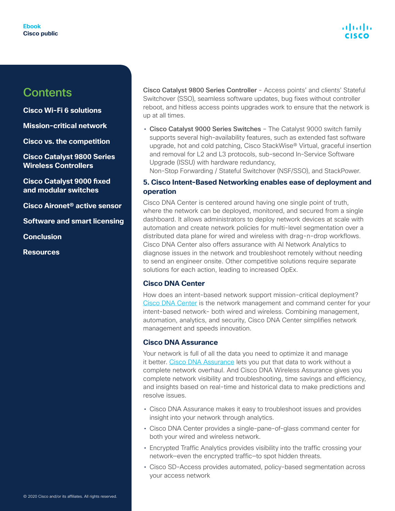**[Cisco Wi-Fi 6 solutions](#page-3-0)**

**[Mission-critical network](#page-7-0)**

**[Cisco vs. the competition](#page-12-0)**

**[Cisco Catalyst 9800 Series](#page-15-0)  [Wireless Controllers](#page-15-0)**

**[Cisco Catalyst 9000 fixed](#page-20-0)  [and modular switches](#page-20-0)**

**[Cisco Aironet® active sensor](#page-24-0)**

**[Software and smart licensing](#page-24-0)**

**[Conclusion](#page-27-0)**

**[Resources](#page-28-0)**

Cisco Catalyst 9800 Series Controller - Access points' and clients' Stateful Switchover (SSO), seamless software updates, bug fixes without controller reboot, and hitless access points upgrades work to ensure that the network is up at all times.

• Cisco Catalyst 9000 Series Switches – The Catalyst 9000 switch family supports several high-availability features, such as extended fast software upgrade, hot and cold patching, Cisco StackWise® Virtual, graceful insertion and removal for L2 and L3 protocols, sub-second In-Service Software Upgrade (ISSU) with hardware redundancy,

Non-Stop Forwarding / Stateful Switchover (NSF/SSO), and StackPower.

#### **5. Cisco Intent-Based Networking enables ease of deployment and operation**

Cisco DNA Center is centered around having one single point of truth, where the network can be deployed, monitored, and secured from a single dashboard. It allows administrators to deploy network devices at scale with automation and create network policies for multi-level segmentation over a distributed data plane for wired and wireless with drag-n-drop workflows. Cisco DNA Center also offers assurance with AI Network Analytics to diagnose issues in the network and troubleshoot remotely without needing to send an engineer onsite. Other competitive solutions require separate solutions for each action, leading to increased OpEx.

#### **Cisco DNA Center**

How does an intent-based network support mission-critical deployment? [Cisco DNA Center](https://www.cisco.com/c/en/us/products/cloud-systems-management/dna-center/index.html) is the network management and command center for your intent-based network- both wired and wireless. Combining management, automation, analytics, and security, Cisco DNA Center simplifies network management and speeds innovation.

#### **Cisco DNA Assurance**

Your network is full of all the data you need to optimize it and manage it better. [Cisco DNA Assurance](https://www.cisco.com/c/en/us/solutions/enterprise-networks/dna-analytics-assurance.html#~services) lets you put that data to work without a complete network overhaul. And Cisco DNA Wireless Assurance gives you complete network visibility and troubleshooting, time savings and efficiency, and insights based on real-time and historical data to make predictions and resolve issues.

- Cisco DNA Assurance makes it easy to troubleshoot issues and provides insight into your network through analytics.
- Cisco DNA Center provides a single-pane-of-glass command center for both your wired and wireless network.
- Encrypted Traffic Analytics provides visibility into the traffic crossing your network—even the encrypted traffic—to spot hidden threats.
- Cisco SD-Access provides automated, policy-based segmentation across your access network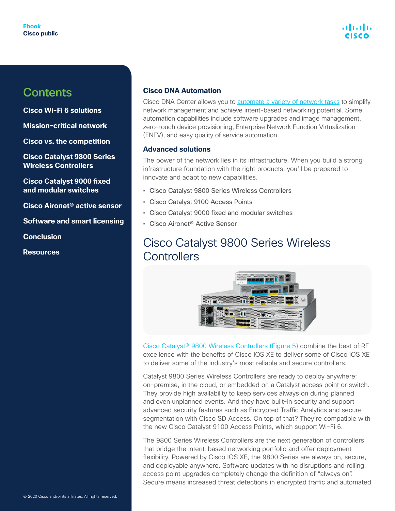<span id="page-15-0"></span>**[Cisco Wi-Fi 6 solutions](#page-3-0)**

**[Mission-critical network](#page-7-0)**

**[Cisco vs. the competition](#page-12-0)**

**Cisco Catalyst 9800 Series Wireless Controllers**

**[Cisco Catalyst 9000 fixed](#page-20-0)  [and modular switches](#page-20-0)**

**[Cisco Aironet® active sensor](#page-24-0)**

**[Software and smart licensing](#page-24-0)**

**[Conclusion](#page-27-0)**

**[Resources](#page-28-0)**

#### **Cisco DNA Automation**

Cisco DNA Center allows you to [automate a variety of network tasks](https://www.cisco.com/c/en/us/products/cloud-systems-management/dna-center/index.html) to simplify network management and achieve intent-based networking potential. Some automation capabilities include software upgrades and image management, zero-touch device provisioning, Enterprise Network Function Virtualization (ENFV), and easy quality of service automation.

#### **Advanced solutions**

The power of the network lies in its infrastructure. When you build a strong infrastructure foundation with the right products, you'll be prepared to innovate and adapt to new capabilities.

- Cisco Catalyst 9800 Series Wireless Controllers
- Cisco Catalyst 9100 Access Points
- Cisco Catalyst 9000 fixed and modular switches
- Cisco Aironet® Active Sensor

### Cisco Catalyst 9800 Series Wireless **Controllers**



[Cisco Catalyst® 9800 Wireless Controllers \(Figure 5\)](https://www.cisco.com/c/en/us/products/wireless/catalyst-9800-series-wireless-controllers/index.html) combine the best of RF excellence with the benefits of Cisco IOS XE to deliver some of Cisco IOS XE to deliver some of the industry's most reliable and secure controllers.

Catalyst 9800 Series Wireless Controllers are ready to deploy anywhere: on-premise, in the cloud, or embedded on a Catalyst access point or switch. They provide high availability to keep services always on during planned and even unplanned events. And they have built-in security and support advanced security features such as Encrypted Traffic Analytics and secure segmentation with Cisco SD Access. On top of that? They're compatible with the new Cisco Catalyst 9100 Access Points, which support Wi-Fi 6.

The 9800 Series Wireless Controllers are the next generation of controllers that bridge the intent-based networking portfolio and offer deployment flexibility. Powered by Cisco IOS XE, the 9800 Series are always on, secure, and deployable anywhere. Software updates with no disruptions and rolling access point upgrades completely change the definition of "always on". Secure means increased threat detections in encrypted traffic and automated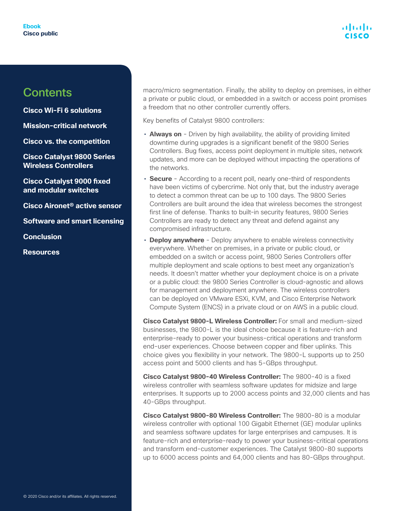**[Cisco Wi-Fi 6 solutions](#page-3-0)**

**[Mission-critical network](#page-7-0)**

**[Cisco vs. the competition](#page-12-0)**

**[Cisco Catalyst 9800 Series](#page-15-0)  [Wireless Controllers](#page-15-0)**

**[Cisco Catalyst 9000 fixed](#page-20-0)  [and modular switches](#page-20-0)**

**[Cisco Aironet® active sensor](#page-24-0)**

**[Software and smart licensing](#page-24-0)**

**[Conclusion](#page-27-0)**

**[Resources](#page-28-0)**

macro/micro segmentation. Finally, the ability to deploy on premises, in either a private or public cloud, or embedded in a switch or access point promises a freedom that no other controller currently offers.

Key benefits of Catalyst 9800 controllers:

- **Always on** Driven by high availability, the ability of providing limited downtime during upgrades is a significant benefit of the 9800 Series Controllers. Bug fixes, access point deployment in multiple sites, network updates, and more can be deployed without impacting the operations of the networks.
- **Secure** According to a recent poll, nearly one-third of respondents have been victims of cybercrime. Not only that, but the industry average to detect a common threat can be up to 100 days. The 9800 Series Controllers are built around the idea that wireless becomes the strongest first line of defense. Thanks to built-in security features, 9800 Series Controllers are ready to detect any threat and defend against any compromised infrastructure.
- **Deploy anywhere** Deploy anywhere to enable wireless connectivity everywhere. Whether on premises, in a private or public cloud, or embedded on a switch or access point, 9800 Series Controllers offer multiple deployment and scale options to best meet any organization's needs. It doesn't matter whether your deployment choice is on a private or a public cloud: the 9800 Series Controller is cloud-agnostic and allows for management and deployment anywhere. The wireless controllers can be deployed on VMware ESXi, KVM, and Cisco Enterprise Network Compute System (ENCS) in a private cloud or on AWS in a public cloud.

**Cisco Catalyst 9800-L Wireless Controller:** For small and medium-sized businesses, the 9800-L is the ideal choice because it is feature-rich and enterprise-ready to power your business-critical operations and transform end-user experiences. Choose between copper and fiber uplinks. This choice gives you flexibility in your network. The 9800-L supports up to 250 access point and 5000 clients and has 5-GBps throughput.

**Cisco Catalyst 9800-40 Wireless Controller:** The 9800-40 is a fixed wireless controller with seamless software updates for midsize and large enterprises. It supports up to 2000 access points and 32,000 clients and has 40-GBps throughput.

**Cisco Catalyst 9800-80 Wireless Controller:** The 9800-80 is a modular wireless controller with optional 100 Gigabit Ethernet (GE) modular uplinks and seamless software updates for large enterprises and campuses. It is feature-rich and enterprise-ready to power your business-critical operations and transform end-customer experiences. The Catalyst 9800-80 supports up to 6000 access points and 64,000 clients and has 80-GBps throughput.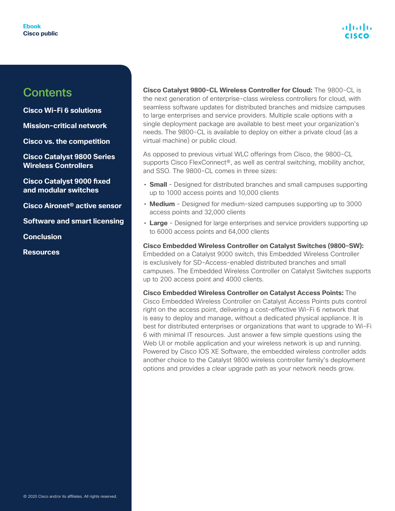**[Cisco Wi-Fi 6 solutions](#page-3-0)**

**[Mission-critical network](#page-7-0)**

**[Cisco vs. the competition](#page-12-0)**

**[Cisco Catalyst 9800 Series](#page-15-0)  [Wireless Controllers](#page-15-0)**

**[Cisco Catalyst 9000 fixed](#page-20-0)  [and modular switches](#page-20-0)**

**[Cisco Aironet® active sensor](#page-24-0)**

**[Software and smart licensing](#page-24-0)**

**[Conclusion](#page-27-0)**

**[Resources](#page-28-0)**

**Cisco Catalyst 9800-CL Wireless Controller for Cloud:** The 9800-CL is the next generation of enterprise-class wireless controllers for cloud, with seamless software updates for distributed branches and midsize campuses to large enterprises and service providers. Multiple scale options with a single deployment package are available to best meet your organization's needs. The 9800-CL is available to deploy on either a private cloud (as a virtual machine) or public cloud.

As opposed to previous virtual WLC offerings from Cisco, the 9800-CL supports Cisco FlexConnect<sup>®</sup>, as well as central switching, mobility anchor, and SSO. The 9800-CL comes in three sizes:

- **Small**  Designed for distributed branches and small campuses supporting up to 1000 access points and 10,000 clients
- **Medium** Designed for medium-sized campuses supporting up to 3000 access points and 32,000 clients
- **Large** Designed for large enterprises and service providers supporting up to 6000 access points and 64,000 clients

**Cisco Embedded Wireless Controller on Catalyst Switches (9800-SW):** Embedded on a Catalyst 9000 switch, this Embedded Wireless Controller is exclusively for SD-Access-enabled distributed branches and small campuses. The Embedded Wireless Controller on Catalyst Switches supports up to 200 access point and 4000 clients.

**Cisco Embedded Wireless Controller on Catalyst Access Points:** The Cisco Embedded Wireless Controller on Catalyst Access Points puts control right on the access point, delivering a cost-effective Wi-Fi 6 network that is easy to deploy and manage, without a dedicated physical appliance. It is best for distributed enterprises or organizations that want to upgrade to Wi-Fi 6 with minimal IT resources. Just answer a few simple questions using the Web UI or mobile application and your wireless network is up and running. Powered by Cisco IOS XE Software, the embedded wireless controller adds another choice to the Catalyst 9800 wireless controller family's deployment options and provides a clear upgrade path as your network needs grow.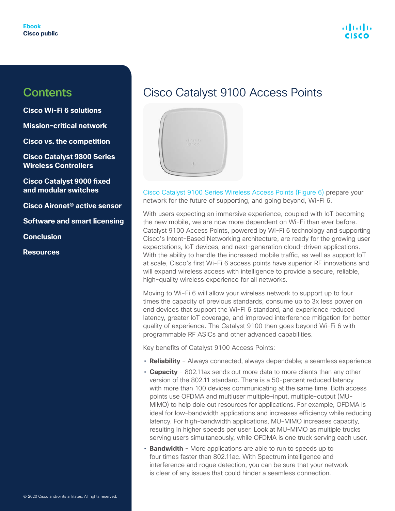**[Cisco Wi-Fi 6 solutions](#page-3-0)**

**[Mission-critical network](#page-7-0)**

**[Cisco vs. the competition](#page-12-0)**

**[Cisco Catalyst 9800 Series](#page-15-0)  [Wireless Controllers](#page-15-0)**

**[Cisco Catalyst 9000 fixed](#page-20-0)  [and modular switches](#page-20-0)**

**[Cisco Aironet® active sensor](#page-24-0)**

**[Software and smart licensing](#page-24-0)**

**[Conclusion](#page-27-0)**

**[Resources](#page-28-0)**

### Cisco Catalyst 9100 Access Points



[Cisco Catalyst 9100 Series Wireless Access Points \(Figure 6\)](https://www.cisco.com/c/en/us/products/wireless/catalyst-9100ax-access-points/index.html) prepare your network for the future of supporting, and going beyond, Wi-Fi 6.

With users expecting an immersive experience, coupled with IoT becoming the new mobile, we are now more dependent on Wi-Fi than ever before. Catalyst 9100 Access Points, powered by Wi-Fi 6 technology and supporting Cisco's Intent-Based Networking architecture, are ready for the growing user expectations, IoT devices, and next-generation cloud-driven applications. With the ability to handle the increased mobile traffic, as well as support IoT at scale, Cisco's first Wi-Fi 6 access points have superior RF innovations and will expand wireless access with intelligence to provide a secure, reliable, high-quality wireless experience for all networks.

Moving to Wi-Fi 6 will allow your wireless network to support up to four times the capacity of previous standards, consume up to 3x less power on end devices that support the Wi-Fi 6 standard, and experience reduced latency, greater IoT coverage, and improved interference mitigation for better quality of experience. The Catalyst 9100 then goes beyond Wi-Fi 6 with programmable RF ASICs and other advanced capabilities.

Key benefits of Catalyst 9100 Access Points:

- **Reliability** Always connected, always dependable; a seamless experience
- **Capacity** 802.11ax sends out more data to more clients than any other version of the 802.11 standard. There is a 50-percent reduced latency with more than 100 devices communicating at the same time. Both access points use OFDMA and multiuser multiple-input, multiple-output (MU-MIMO) to help dole out resources for applications. For example, OFDMA is ideal for low-bandwidth applications and increases efficiency while reducing latency. For high-bandwidth applications, MU-MIMO increases capacity, resulting in higher speeds per user. Look at MU-MIMO as multiple trucks serving users simultaneously, while OFDMA is one truck serving each user.
- **Bandwidth** More applications are able to run to speeds up to four times faster than 802.11ac. With Spectrum intelligence and interference and rogue detection, you can be sure that your network is clear of any issues that could hinder a seamless connection.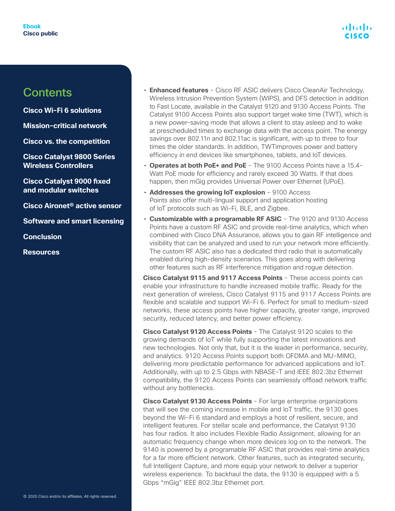**[Cisco Wi-Fi 6 solutions](#page-3-0)**

**[Mission-critical network](#page-7-0)**

**[Cisco vs. the competition](#page-12-0)**

**[Cisco Catalyst 9800 Series](#page-15-0)  [Wireless Controllers](#page-15-0)**

**[Cisco Catalyst 9000 fixed](#page-20-0)  [and modular switches](#page-20-0)**

**[Cisco Aironet® active sensor](#page-24-0)**

**[Software and smart licensing](#page-24-0)**

**[Conclusion](#page-27-0)**

**[Resources](#page-28-0)**

- **Enhanced features** Cisco RF ASIC delivers Cisco CleanAir Technology, Wireless Intrusion Prevention System (WIPS), and DFS detection in addition to Fast Locate, available in the Catalyst 9120 and 9130 Access Points. The Catalyst 9100 Access Points also support target wake time (TWT), which is a new power-saving mode that allows a client to stay asleep and to wake at prescheduled times to exchange data with the access point. The energy savings over 802.11n and 802.11ac is significant, with up to three to four times the older standards. In addition, TWTimproves power and battery efficiency in end devices like smartphones, tablets, and IoT devices.
- **Operates at both PoE+ and PoE** The 9100 Access Points have a 15.4- Watt PoE mode for efficiency and rarely exceed 30 Watts. If that does happen, then mGig provides Universal Power over Ethernet (UPoE).
- **Addresses the growing IoT explosion** 9100 Access Points also offer multi-lingual support and application hosting of IoT protocols such as Wi-Fi, BLE, and Zigbee.
- **Customizable with a programable RF ASIC** The 9120 and 9130 Access Points have a custom RF ASIC and provide real-time analytics, which when combined with Cisco DNA Assurance, allows you to gain RF intelligence and visibility that can be analyzed and used to run your network more efficiently. The custom RF ASIC also has a dedicated third radio that is automatically enabled during high-density scenarios. This goes along with delivering other features such as RF interference mitigation and rogue detection.

**Cisco Catalyst 9115 and 9117 Access Points** - These access points can enable your infrastructure to handle increased mobile traffic. Ready for the next generation of wireless, Cisco Catalyst 9115 and 9117 Access Points are flexible and scalable and support Wi-Fi 6. Perfect for small to medium-sized networks, these access points have higher capacity, greater range, improved security, reduced latency, and better power efficiency.

**Cisco Catalyst 9120 Access Points** - The Catalyst 9120 scales to the growing demands of IoT while fully supporting the latest innovations and new technologies. Not only that, but it is the leader in performance, security, and analytics. 9120 Access Points support both OFDMA and MU-MIMO, delivering more predictable performance for advanced applications and IoT. Additionally, with up to 2.5 Gbps with NBASE-T and IEEE 802.3bz Ethernet compatibility, the 9120 Access Points can seamlessly offload network traffic without any bottlenecks.

**Cisco Catalyst 9130 Access Points** - For large enterprise organizations that will see the coming increase in mobile and IoT traffic, the 9130 goes beyond the Wi-Fi 6 standard and employs a host of resilient, secure, and intelligent features. For stellar scale and performance, the Catalyst 9130 has four radios. It also includes Flexible Radio Assignment, allowing for an automatic frequency change when more devices log on to the network. The 9140 is powered by a programable RF ASIC that provides real-time analytics for a far more efficient network. Other features, such as integrated security, full Intelligent Capture, and more equip your network to deliver a superior wireless experience. To backhaul the data, the 9130 is equipped with a 5 Gbps "mGig" IEEE 802.3bz Ethernet port.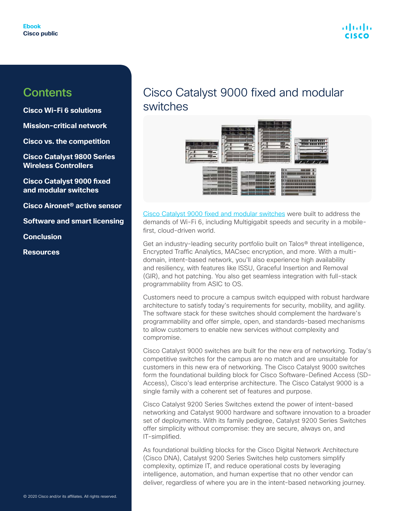

<span id="page-20-0"></span>**[Cisco Wi-Fi 6 solutions](#page-3-0)**

**[Mission-critical network](#page-7-0)**

**[Cisco vs. the competition](#page-12-0)**

**[Cisco Catalyst 9800 Series](#page-15-0)  [Wireless Controllers](#page-15-0)**

**Cisco Catalyst 9000 fixed and modular switches**

**[Cisco Aironet® active sensor](#page-24-0)**

**[Software and smart licensing](#page-24-0)**

**[Conclusion](#page-27-0)**

**[Resources](#page-28-0)**

### Cisco Catalyst 9000 fixed and modular switches



[Cisco Catalyst 9000 fixed and modular switches](https://www.cisco.com/c/en/us/solutions/enterprise-networks/catalyst-9000.html) were built to address the demands of Wi-Fi 6, including Multigigabit speeds and security in a mobilefirst, cloud-driven world.

Get an industry-leading security portfolio built on Talos® threat intelligence, Encrypted Traffic Analytics, MACsec encryption, and more. With a multidomain, intent-based network, you'll also experience high availability and resiliency, with features like ISSU, Graceful Insertion and Removal (GIR), and hot patching. You also get seamless integration with full-stack programmability from ASIC to OS.

Customers need to procure a campus switch equipped with robust hardware architecture to satisfy today's requirements for security, mobility, and agility. The software stack for these switches should complement the hardware's programmability and offer simple, open, and standards-based mechanisms to allow customers to enable new services without complexity and compromise.

Cisco Catalyst 9000 switches are built for the new era of networking. Today's competitive switches for the campus are no match and are unsuitable for customers in this new era of networking. The Cisco Catalyst 9000 switches form the foundational building block for Cisco Software-Defined Access (SD-Access), Cisco's lead enterprise architecture. The Cisco Catalyst 9000 is a single family with a coherent set of features and purpose.

Cisco Catalyst 9200 Series Switches extend the power of intent-based networking and Catalyst 9000 hardware and software innovation to a broader set of deployments. With its family pedigree, Catalyst 9200 Series Switches offer simplicity without compromise: they are secure, always on, and IT-simplified.

As foundational building blocks for the Cisco Digital Network Architecture (Cisco DNA), Catalyst 9200 Series Switches help customers simplify complexity, optimize IT, and reduce operational costs by leveraging intelligence, automation, and human expertise that no other vendor can deliver, regardless of where you are in the intent-based networking journey.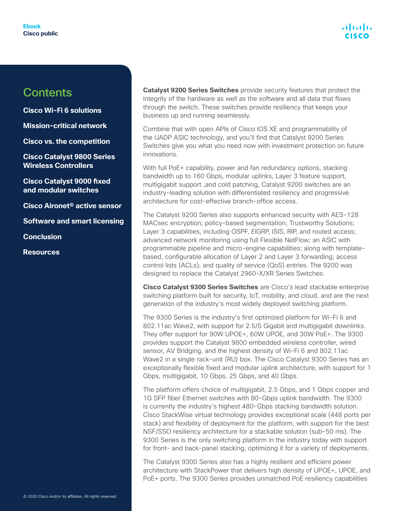

**[Cisco Wi-Fi 6 solutions](#page-3-0)**

**[Mission-critical network](#page-7-0)**

**[Cisco vs. the competition](#page-12-0)**

**[Cisco Catalyst 9800 Series](#page-15-0)  [Wireless Controllers](#page-15-0)**

**[Cisco Catalyst 9000 fixed](#page-20-0)  [and modular switches](#page-20-0)**

**[Cisco Aironet® active sensor](#page-24-0)**

**[Software and smart licensing](#page-24-0)**

**[Conclusion](#page-27-0)**

**[Resources](#page-28-0)**

**Catalyst 9200 Series Switches** provide security features that protect the integrity of the hardware as well as the software and all data that flows through the switch. These switches provide resiliency that keeps your business up and running seamlessly.

Combine that with open APIs of Cisco IOS XE and programmability of the UADP ASIC technology, and you'll find that Catalyst 9200 Series Switches give you what you need now with investment protection on future innovations.

With full PoE+ capability, power and fan redundancy options, stacking bandwidth up to 160 Gbps, modular uplinks, Layer 3 feature support, multigigabit support ,and cold patching, Catalyst 9200 switches are an industry-leading solution with differentiated resiliency and progressive architecture for cost-effective branch-office access.

The Catalyst 9200 Series also supports enhanced security with AES-128 MACsec encryption; policy-based segmentation; Trustworthy Solutions; Layer 3 capabilities, including OSPF, EIGRP, ISIS, RIP, and routed access; advanced network monitoring using full Flexible NetFlow; an ASIC with programmable pipeline and micro-engine capabilities; along with templatebased, configurable allocation of Layer 2 and Layer 3 forwarding; access control lists (ACLs); and quality of service (QoS) entries. The 9200 was designed to replace the Catalyst 2960-X/XR Series Switches.

**Cisco Catalyst 9300 Series Switches** are Cisco's lead stackable enterprise switching platform built for security, IoT, mobility, and cloud, and are the next generation of the industry's most widely deployed switching platform.

The 9300 Series is the industry's first optimized platform for Wi-Fi 6 and 802.11ac Wave2, with support for 2.5/5 Gigabit and multigigabit downlinks. They offer support for 90W UPOE+, 60W UPOE, and 30W PoE+. The 9300 provides support the Catalyst 9800 embedded wireless controller, wired sensor, AV Bridging, and the highest density of Wi-Fi 6 and 802.11ac Wave2 in a single rack-unit (RU) box. The Cisco Catalyst 9300 Series has an exceptionally flexible fixed and modular uplink architecture, with support for 1 Gbps, multigigabit, 10 Gbps, 25 Gbps, and 40 Gbps.

The platform offers choice of multigigabit, 2.5 Gbps, and 1 Gbps copper and 1G SFP fiber Ethernet switches with 80-Gbps uplink bandwidth. The 9300 is currently the industry's highest 480-Gbps stacking bandwidth solution. Cisco StackWise virtual technology provides exceptional scale (448 ports per stack) and flexibility of deployment for the platform, with support for the best NSF/SSO resiliency architecture for a stackable solution (sub-50 ms). The 9300 Series is the only switching platform in the industry today with support for front- and back-panel stacking, optimizing it for a variety of deployments.

The Catalyst 9300 Series also has a highly resilient and efficient power architecture with StackPower that delivers high density of UPOE+, UPOE, and PoE+ ports. The 9300 Series provides unmatched PoE resiliency capabilities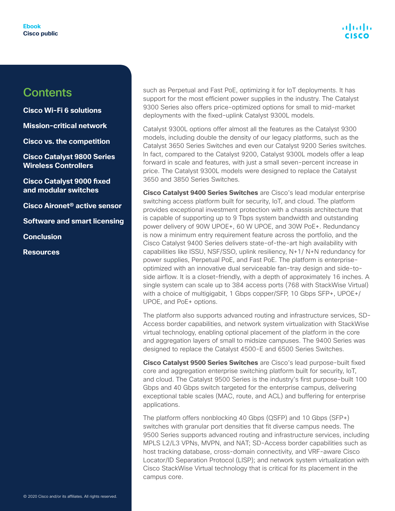**[Cisco Wi-Fi 6 solutions](#page-3-0)**

**[Mission-critical network](#page-7-0)**

**[Cisco vs. the competition](#page-12-0)**

**[Cisco Catalyst 9800 Series](#page-15-0)  [Wireless Controllers](#page-15-0)**

**[Cisco Catalyst 9000 fixed](#page-20-0)  [and modular switches](#page-20-0)**

**[Cisco Aironet® active sensor](#page-24-0)**

**[Software and smart licensing](#page-24-0)**

**[Conclusion](#page-27-0)**

**[Resources](#page-28-0)**

such as Perpetual and Fast PoE, optimizing it for IoT deployments. It has support for the most efficient power supplies in the industry. The Catalyst 9300 Series also offers price-optimized options for small to mid-market deployments with the fixed-uplink Catalyst 9300L models.

Catalyst 9300L options offer almost all the features as the Catalyst 9300 models, including double the density of our legacy platforms, such as the Catalyst 3650 Series Switches and even our Catalyst 9200 Series switches. In fact, compared to the Catalyst 9200, Catalyst 9300L models offer a leap forward in scale and features, with just a small seven-percent increase in price. The Catalyst 9300L models were designed to replace the Catalyst 3650 and 3850 Series Switches.

**Cisco Catalyst 9400 Series Switches** are Cisco's lead modular enterprise switching access platform built for security, IoT, and cloud. The platform provides exceptional investment protection with a chassis architecture that is capable of supporting up to 9 Tbps system bandwidth and outstanding power delivery of 90W UPOE+, 60 W UPOE, and 30W PoE+. Redundancy is now a minimum entry requirement feature across the portfolio, and the Cisco Catalyst 9400 Series delivers state-of-the-art high availability with capabilities like ISSU, NSF/SSO, uplink resiliency, N+1/ N+N redundancy for power supplies, Perpetual PoE, and Fast PoE. The platform is enterpriseoptimized with an innovative dual serviceable fan-tray design and side-toside airflow. It is a closet-friendly, with a depth of approximately 16 inches. A single system can scale up to 384 access ports (768 with StackWise Virtual) with a choice of multigigabit, 1 Gbps copper/SFP, 10 Gbps SFP+, UPOE+/ UPOE, and PoE+ options.

The platform also supports advanced routing and infrastructure services, SD-Access border capabilities, and network system virtualization with StackWise virtual technology, enabling optional placement of the platform in the core and aggregation layers of small to midsize campuses. The 9400 Series was designed to replace the Catalyst 4500-E and 6500 Series Switches.

**Cisco Catalyst 9500 Series Switches** are Cisco's lead purpose-built fixed core and aggregation enterprise switching platform built for security, IoT, and cloud. The Catalyst 9500 Series is the industry's first purpose-built 100 Gbps and 40 Gbps switch targeted for the enterprise campus, delivering exceptional table scales (MAC, route, and ACL) and buffering for enterprise applications.

The platform offers nonblocking 40 Gbps (QSFP) and 10 Gbps (SFP+) switches with granular port densities that fit diverse campus needs. The 9500 Series supports advanced routing and infrastructure services, including MPLS L2/L3 VPNs, MVPN, and NAT; SD-Access border capabilities such as host tracking database, cross-domain connectivity, and VRF-aware Cisco Locator/ID Separation Protocol (LISP); and network system virtualization with Cisco StackWise Virtual technology that is critical for its placement in the campus core.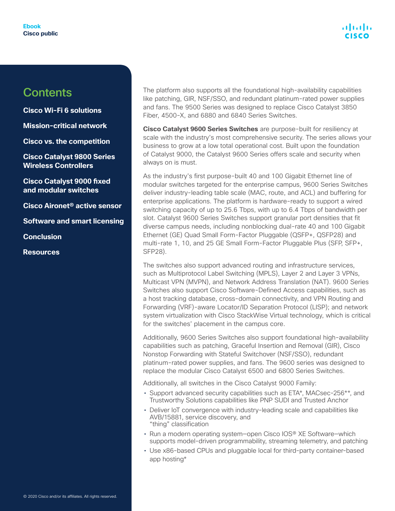**[Cisco Wi-Fi 6 solutions](#page-3-0)**

**[Mission-critical network](#page-7-0)**

**[Cisco vs. the competition](#page-12-0)**

**[Cisco Catalyst 9800 Series](#page-15-0)  [Wireless Controllers](#page-15-0)**

**[Cisco Catalyst 9000 fixed](#page-20-0)  [and modular switches](#page-20-0)**

**[Cisco Aironet® active sensor](#page-24-0)**

**[Software and smart licensing](#page-24-0)**

**[Conclusion](#page-27-0)**

**[Resources](#page-28-0)**

The platform also supports all the foundational high-availability capabilities like patching, GIR, NSF/SSO, and redundant platinum-rated power supplies and fans. The 9500 Series was designed to replace Cisco Catalyst 3850 Fiber, 4500-X, and 6880 and 6840 Series Switches.

**Cisco Catalyst 9600 Series Switches** are purpose-built for resiliency at scale with the industry's most comprehensive security. The series allows your business to grow at a low total operational cost. Built upon the foundation of Catalyst 9000, the Catalyst 9600 Series offers scale and security when always on is must.

As the industry's first purpose-built 40 and 100 Gigabit Ethernet line of modular switches targeted for the enterprise campus, 9600 Series Switches deliver industry-leading table scale (MAC, route, and ACL) and buffering for enterprise applications. The platform is hardware-ready to support a wired switching capacity of up to 25.6 Tbps, with up to 6.4 Tbps of bandwidth per slot. Catalyst 9600 Series Switches support granular port densities that fit diverse campus needs, including nonblocking dual-rate 40 and 100 Gigabit Ethernet (GE) Quad Small Form-Factor Pluggable (QSFP+, QSFP28) and multi-rate 1, 10, and 25 GE Small Form-Factor Pluggable Plus (SFP, SFP+, SFP28).

The switches also support advanced routing and infrastructure services, such as Multiprotocol Label Switching (MPLS), Layer 2 and Layer 3 VPNs, Multicast VPN (MVPN), and Network Address Translation (NAT). 9600 Series Switches also support Cisco Software-Defined Access capabilities, such as a host tracking database, cross-domain connectivity, and VPN Routing and Forwarding (VRF)-aware Locator/ID Separation Protocol (LISP); and network system virtualization with Cisco StackWise Virtual technology, which is critical for the switches' placement in the campus core.

Additionally, 9600 Series Switches also support foundational high-availability capabilities such as patching, Graceful Insertion and Removal (GIR), Cisco Nonstop Forwarding with Stateful Switchover (NSF/SSO), redundant platinum-rated power supplies, and fans. The 9600 series was designed to replace the modular Cisco Catalyst 6500 and 6800 Series Switches.

Additionally, all switches in the Cisco Catalyst 9000 Family:

- Support advanced security capabilities such as ETA\*, MACsec-256\*\*, and Trustworthy Solutions capabilities like PNP SUDI and Trusted Anchor
- Deliver IoT convergence with industry-leading scale and capabilities like AVB/15881, service discovery, and "thing" classification
- Run a modern operating system—open Cisco IOS® XE Software—which supports model-driven programmability, streaming telemetry, and patching
- Use x86-based CPUs and pluggable local for third-party container-based app hosting\*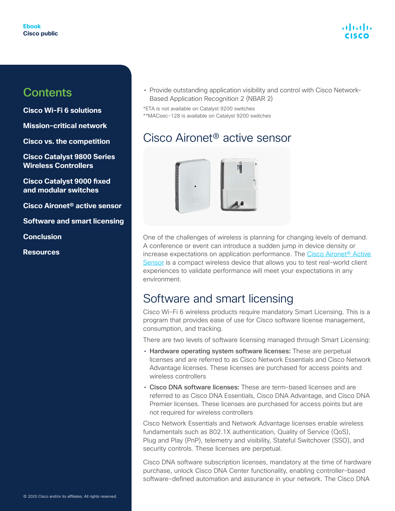<span id="page-24-0"></span>**[Cisco Wi-Fi 6 solutions](#page-3-0)**

**[Mission-critical network](#page-7-0)**

**[Cisco vs. the competition](#page-12-0)**

**[Cisco Catalyst 9800 Series](#page-15-0)  [Wireless Controllers](#page-15-0)**

**[Cisco Catalyst 9000 fixed](#page-20-0)  [and modular switches](#page-20-0)**

**Cisco Aironet® active sensor**

**Software and smart licensing**

**[Conclusion](#page-27-0)**

**[Resources](#page-28-0)**

• Provide outstanding application visibility and control with Cisco Network-Based Application Recognition 2 (NBAR 2)

\*ETA is not available on Catalyst 9200 switches \*\*MACsec-128 is available on Catalyst 9200 switches

### Cisco Aironet® active sensor



One of the challenges of wireless is planning for changing levels of demand. A conference or event can introduce a sudden jump in device density or increase expectations on application performance. The [Cisco Aironet® Active](https://www.cisco.com/c/en/us/products/wireless/aironet-active-sensor/index.html)  [Sensor](https://www.cisco.com/c/en/us/products/wireless/aironet-active-sensor/index.html) is a compact wireless device that allows you to test real-world client experiences to validate performance will meet your expectations in any environment.

### Software and smart licensing

Cisco Wi-Fi 6 wireless products require mandatory Smart Licensing. This is a program that provides ease of use for Cisco software license management, consumption, and tracking.

There are two levels of software licensing managed through Smart Licensing:

- Hardware operating system software licenses: These are perpetual licenses and are referred to as Cisco Network Essentials and Cisco Network Advantage licenses. These licenses are purchased for access points and wireless controllers
- Cisco DNA software licenses: These are term-based licenses and are referred to as Cisco DNA Essentials, Cisco DNA Advantage, and Cisco DNA Premier licenses. These licenses are purchased for access points but are not required for wireless controllers

Cisco Network Essentials and Network Advantage licenses enable wireless fundamentals such as 802.1X authentication, Quality of Service (QoS), Plug and Play (PnP), telemetry and visibility, Stateful Switchover (SSO), and security controls. These licenses are perpetual.

Cisco DNA software subscription licenses, mandatory at the time of hardware purchase, unlock Cisco DNA Center functionality, enabling controller-based software-defined automation and assurance in your network. The Cisco DNA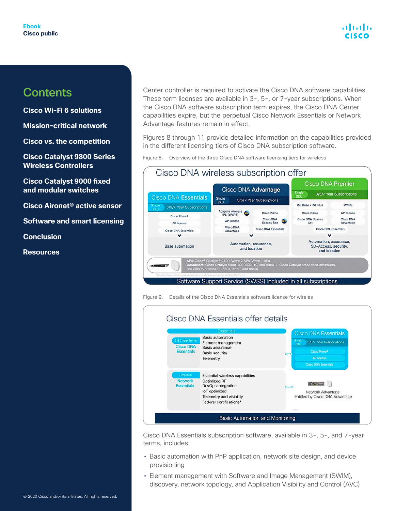**[Cisco Wi-Fi 6 solutions](#page-3-0)**

**[Mission-critical network](#page-7-0)**

**[Cisco vs. the competition](#page-12-0)**

**[Cisco Catalyst 9800 Series](#page-15-0)  [Wireless Controllers](#page-15-0)**

**[Cisco Catalyst 9000 fixed](#page-20-0)  [and modular switches](#page-20-0)**

**[Cisco Aironet® active sensor](#page-24-0)**

**[Software and smart licensing](#page-24-0)**

**[Conclusion](#page-27-0)**

**[Resources](#page-28-0)**

Center controller is required to activate the Cisco DNA software capabilities. These term licenses are available in 3-, 5-, or 7-year subscriptions. When the Cisco DNA software subscription term expires, the Cisco DNA Center capabilities expire, but the perpetual Cisco Network Essentials or Network Advantage features remain in effect.

Figures 8 through 11 provide detailed information on the capabilities provided in the different licensing tiers of Cisco DNA subscription software.

Figure 8. Overview of the three Cisco DNA software licensing tiers for wireless



Figure 9. Details of the Cisco DNA Essentials software license for wireles



Cisco DNA Essentials subscription software, available in 3-, 5-, and 7-year terms, includes:

- Basic automation with PnP application, network site design, and device provisioning
- Element management with Software and Image Management (SWIM), discovery, network topology, and Application Visibility and Control (AVC)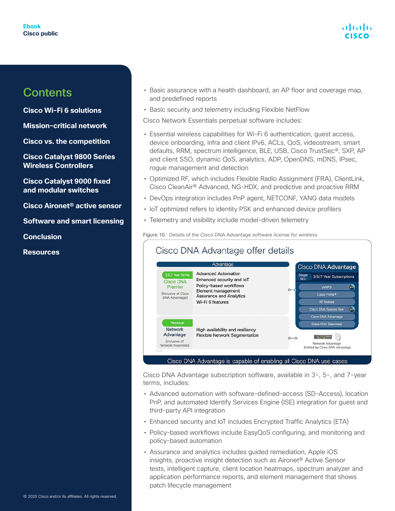## atratra

### **Contents**

**[Cisco Wi-Fi 6 solutions](#page-3-0)**

**[Mission-critical network](#page-7-0)**

**[Cisco vs. the competition](#page-12-0)**

**[Cisco Catalyst 9800 Series](#page-15-0)  [Wireless Controllers](#page-15-0)**

**[Cisco Catalyst 9000 fixed](#page-20-0)  [and modular switches](#page-20-0)**

**[Cisco Aironet® active sensor](#page-24-0)**

**[Software and smart licensing](#page-24-0)**

**[Conclusion](#page-27-0)**

**[Resources](#page-28-0)**

- Basic assurance with a health dashboard, an AP floor and coverage map, and predefined reports
- Basic security and telemetry including Flexible NetFlow

Cisco Network Essentials perpetual software includes:

- Essential wireless capabilities for Wi-Fi 6 authentication, guest access, device onboarding, infra and client IPv6, ACLs, QoS, videostream, smart defaults, RRM, spectrum intelligence, BLE, USB, Cisco TrustSec®, SXP, AP and client SSO, dynamic QoS, analytics, ADP, OpenDNS, mDNS, IPsec, rogue management and detection
- Optimized RF, which includes Flexible Radio Assignment (FRA), ClientLink, Cisco CleanAir® Advanced, NG-HDX, and predictive and proactive RRM
- DevOps integration includes PnP agent, NETCONF, YANG data models
- IoT optimized refers to identity PSK and enhanced device profilers
- Telemetry and visibility include model-driven telemetry

Figure 10. Details of the Cisco DNA Advantage software license for wireless

|                                                                                           | Advantage                                                                                                                                                     | Cisco DNA Advantage                                                                                       |
|-------------------------------------------------------------------------------------------|---------------------------------------------------------------------------------------------------------------------------------------------------------------|-----------------------------------------------------------------------------------------------------------|
| 3,5,7 Year Terms<br><b>Cisco DNA</b><br>Premier<br>(Inclusive of Cisco)<br>DNA Advantage) | <b>Advanced Automation</b><br>Enhanced security and IoT<br>Policy-based workflows<br>Element management<br><b>Assurance and Analytics</b><br>Wi-Fi 6 features | Single<br>3/5/7 Year Subscriptions<br><b>SKU</b>                                                          |
|                                                                                           |                                                                                                                                                               | $\left( \mathbf{a}_{k}\right)$<br>aWIPS                                                                   |
|                                                                                           |                                                                                                                                                               | Cisco Prime®                                                                                              |
|                                                                                           |                                                                                                                                                               | <b>AP license</b>                                                                                         |
|                                                                                           |                                                                                                                                                               | <b>AN</b><br>Cisco DNA Spaces See                                                                         |
| Perpetual                                                                                 | High availability and resiliency<br><b>Flexible Network Segmentation</b>                                                                                      | Cisco DNA Advantage                                                                                       |
|                                                                                           |                                                                                                                                                               | <b>Cisco DNA Essentials</b>                                                                               |
| <b>Network</b><br>Advantage<br>(Inclusive of                                              |                                                                                                                                                               | <b><i><u>Alexander Control</u></i></b><br>$0 - 0$<br>Network Advantage<br>Entitled by Cisco DNA Advantage |
| Network Essentials)                                                                       |                                                                                                                                                               |                                                                                                           |

Cisco DNA Advantage subscription software, available in 3-, 5-, and 7-year terms, includes:

- Advanced automation with software-defined-access (SD-Access), location PnP, and automated Identify Services Engine (ISE) integration for guest and third-party API integration
- Enhanced security and IoT includes Encrypted Traffic Analytics (ETA)
- Policy-based workflows include EasyQoS configuring, and monitoring and policy-based automation
- Assurance and analytics includes guided remediation, Apple iOS insights, proactive insight detection such as Aironet® Active Sensor tests, intelligent capture, client location heatmaps, spectrum analyzer and application performance reports, and element management that shows patch lifecycle management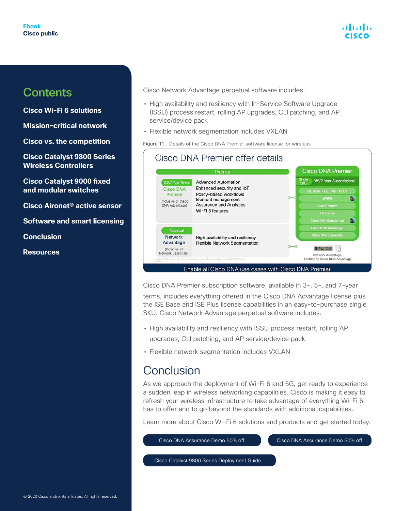

<span id="page-27-0"></span>**[Cisco Wi-Fi 6 solutions](#page-3-0)**

**[Mission-critical network](#page-7-0)**

**[Cisco vs. the competition](#page-12-0)**

**[Cisco Catalyst 9800 Series](#page-15-0)  [Wireless Controllers](#page-15-0)**

**[Cisco Catalyst 9000 fixed](#page-20-0)  [and modular switches](#page-20-0)**

**[Cisco Aironet® active sensor](#page-24-0)**

**[Software and smart licensing](#page-24-0)**

**Conclusion**

**[Resources](#page-28-0)**

Cisco Network Advantage perpetual software includes:

- High availability and resiliency with In-Service Software Upgrade (ISSU) process restart, rolling AP upgrades, CLI patching, and AP service/device pack
- Flexible network segmentation includes VXLAN

Figure 11. Details of the Cisco DNA Premier software license for wireless

|                                                                                           | Premier                                                                                                                                                       | <b>Cisco DNA Premier</b>                  |
|-------------------------------------------------------------------------------------------|---------------------------------------------------------------------------------------------------------------------------------------------------------------|-------------------------------------------|
| 3,5,7 Year Terms<br><b>Cisco DNA</b><br>Premier<br>(Inclusive of Cisco)<br>DNA Advantage) | <b>Advanced Automation</b><br>Enhanced security and IoT<br>Policy-based workflows<br>Element management<br><b>Assurance and Analytics</b><br>Wi-Fi 6 features | Single<br>SKU<br>3/5/7 Year Subscriptions |
|                                                                                           |                                                                                                                                                               | ISE Base + ISE Plus -15 EP                |
|                                                                                           |                                                                                                                                                               | <b>aWIPS</b><br>œ.                        |
|                                                                                           |                                                                                                                                                               | Cisco Prime®                              |
|                                                                                           |                                                                                                                                                               | <b>AP license</b>                         |
|                                                                                           |                                                                                                                                                               | G.<br><b>Cisco DNA Spaces Act</b>         |
| Perpetual                                                                                 | High availability and resiliency<br><b>Flexible Network Segmentation</b>                                                                                      | Cisco DNA Advantage                       |
| <b>Network</b>                                                                            |                                                                                                                                                               | <b>Cisco DNA Essentials</b>               |
| Advantage                                                                                 |                                                                                                                                                               |                                           |
| (Inclusive of<br>Network Essentials)                                                      |                                                                                                                                                               | <b>Street of</b>                          |

Cisco DNA Premier subscription software, available in 3-, 5-, and 7-year

terms, includes everything offered in the Cisco DNA Advantage license plus the ISE Base and ISE Plus license capabilities in an easy-to-purchase single SKU. Cisco Network Advantage perpetual software includes:

- High availability and resiliency with ISSU process restart, rolling AP upgrades, CLI patching, and AP service/device pack
- Flexible network segmentation includes VXLAN

### Conclusion

As we approach the deployment of Wi-Fi 6 and 5G, get ready to experience a sudden leap in wireless networking capabilities. Cisco is making it easy to refresh your wireless infrastructure to take advantage of everything Wi-Fi 6 has to offer and to go beyond the standards with additional capabilities.

Learn more about Cisco Wi-Fi 6 solutions and products and get started today.

[Cisco DNA Assurance Demo 50% off](https://www.cisco.com/c/en/us/solutions/enterprise-networks/dna-analytics-assurance/demos.html) 

[Cisco DNA Assurance Demo 50% off](https://www.cisco.com/c/en/us/solutions/enterprise-networks/promotions-free-trials/catalyst-9800-wireless-controllers-promotion.html?oid=poden018636) 

[Cisco Catalyst 9800 Series Deployment Guide](https://www.cisco.com/c/dam/en/us/td/docs/solutions/CVD/Campus/Catalyst-9800-Non-Fabric-Deployment-using-Cisco-DNA-Center.pdf?oid=htgen019164)